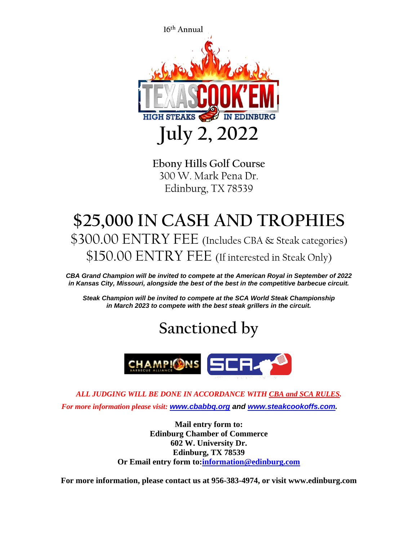

**Ebony Hills Golf Course** 300 W. Mark Pena Dr. Edinburg, TX 78539

## **\$25,000 IN CASH AND TROPHIES** \$300.00 ENTRY FEE (Includes CBA & Steak categories) \$150.00 ENTRY FEE (If interested in Steak Only)

*CBA Grand Champion will be invited to compete at the American Royal in September of 2022 in Kansas City, Missouri, alongside the best of the best in the competitive barbecue circuit.*

*Steak Champion will be invited to compete at the SCA World Steak Championship in March 2023 to compete with the best steak grillers in the circuit.*

## **Sanctioned by**



*ALL JUDGING WILL BE DONE IN ACCORDANCE WITH CBA and SCA RULES. For more information please visit: [www.cbabbq.org](http://www.cbabbq.org/) and [www.steakcookoffs.com.](http://www.steakcookoffs.com/)*

> **Mail entry form to: Edinburg Chamber of Commerce 602 W. University Dr. Edinburg, TX 78539 Or Email entry form to[:information@edinburg.com](mailto:information@edinburg.com)**

**For more information, please contact us at 956-383-4974, or visit www.edinburg.com**